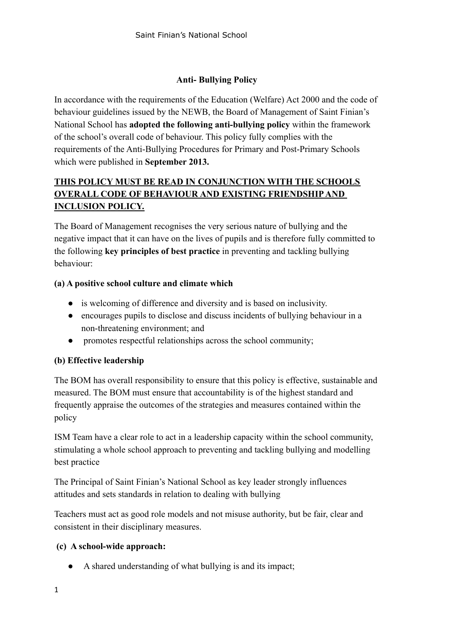# **Anti- Bullying Policy**

In accordance with the requirements of the Education (Welfare) Act 2000 and the code of behaviour guidelines issued by the NEWB, the Board of Management of Saint Finian's National School has **adopted the following anti-bullying policy** within the framework of the school's overall code of behaviour. This policy fully complies with the requirements of the Anti-Bullying Procedures for Primary and Post-Primary Schools which were published in **September 2013.**

# **THIS POLICY MUST BE READ IN CONJUNCTION WITH THE SCHOOLS OVERALL CODE OF BEHAVIOUR AND EXISTING FRIENDSHIP AND INCLUSION POLICY.**

The Board of Management recognises the very serious nature of bullying and the negative impact that it can have on the lives of pupils and is therefore fully committed to the following **key principles of best practice** in preventing and tackling bullying behaviour:

## **(a) A positive school culture and climate which**

- is welcoming of difference and diversity and is based on inclusivity.
- encourages pupils to disclose and discuss incidents of bullying behaviour in a non-threatening environment; and
- promotes respectful relationships across the school community;

# **(b) Effective leadership**

The BOM has overall responsibility to ensure that this policy is effective, sustainable and measured. The BOM must ensure that accountability is of the highest standard and frequently appraise the outcomes of the strategies and measures contained within the policy

ISM Team have a clear role to act in a leadership capacity within the school community, stimulating a whole school approach to preventing and tackling bullying and modelling best practice

The Principal of Saint Finian's National School as key leader strongly influences attitudes and sets standards in relation to dealing with bullying

Teachers must act as good role models and not misuse authority, but be fair, clear and consistent in their disciplinary measures.

## **(c) A school-wide approach:**

● A shared understanding of what bullying is and its impact;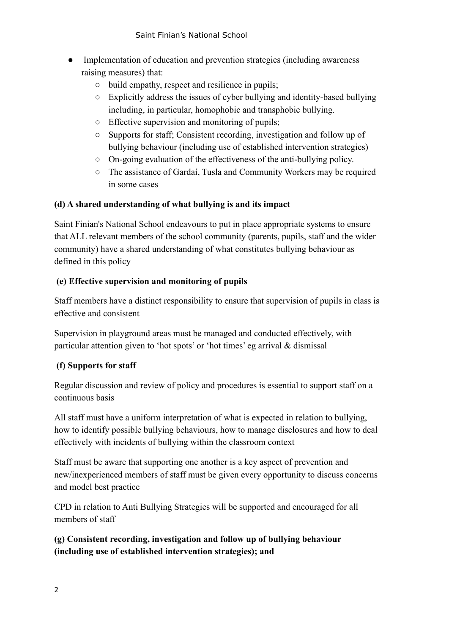- Implementation of education and prevention strategies (including awareness raising measures) that:
	- build empathy, respect and resilience in pupils;
	- Explicitly address the issues of cyber bullying and identity-based bullying including, in particular, homophobic and transphobic bullying.
	- Effective supervision and monitoring of pupils;
	- Supports for staff; Consistent recording, investigation and follow up of bullying behaviour (including use of established intervention strategies)
	- On-going evaluation of the effectiveness of the anti-bullying policy.
	- The assistance of Gardaí, Tusla and Community Workers may be required in some cases

# **(d) A shared understanding of what bullying is and its impact**

Saint Finian's National School endeavours to put in place appropriate systems to ensure that ALL relevant members of the school community (parents, pupils, staff and the wider community) have a shared understanding of what constitutes bullying behaviour as defined in this policy

# **(e) Effective supervision and monitoring of pupils**

Staff members have a distinct responsibility to ensure that supervision of pupils in class is effective and consistent

Supervision in playground areas must be managed and conducted effectively, with particular attention given to 'hot spots' or 'hot times' eg arrival & dismissal

# **(f) Supports for staff**

Regular discussion and review of policy and procedures is essential to support staff on a continuous basis

All staff must have a uniform interpretation of what is expected in relation to bullying, how to identify possible bullying behaviours, how to manage disclosures and how to deal effectively with incidents of bullying within the classroom context

Staff must be aware that supporting one another is a key aspect of prevention and new/inexperienced members of staff must be given every opportunity to discuss concerns and model best practice

CPD in relation to Anti Bullying Strategies will be supported and encouraged for all members of staff

**(g) Consistent recording, investigation and follow up of bullying behaviour (including use of established intervention strategies); and**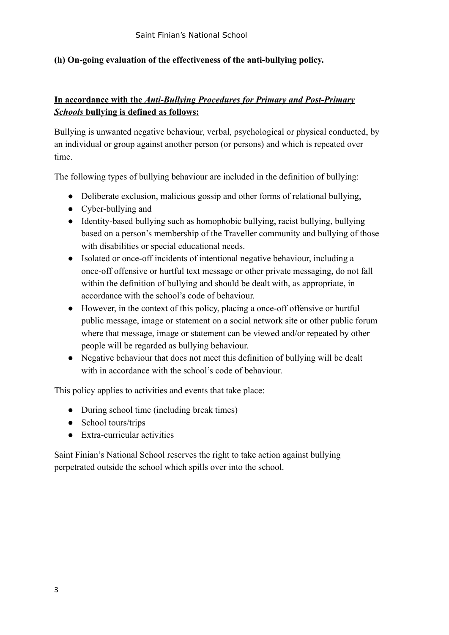## **(h) On-going evaluation of the effectiveness of the anti-bullying policy.**

# **In accordance with the** *Anti-Bullying Procedures for Primary and Post-Primary Schools* **bullying is defined as follows:**

Bullying is unwanted negative behaviour, verbal, psychological or physical conducted, by an individual or group against another person (or persons) and which is repeated over time.

The following types of bullying behaviour are included in the definition of bullying:

- Deliberate exclusion, malicious gossip and other forms of relational bullying.
- Cyber-bullying and
- Identity-based bullying such as homophobic bullying, racist bullying, bullying based on a person's membership of the Traveller community and bullying of those with disabilities or special educational needs.
- Isolated or once-off incidents of intentional negative behaviour, including a once-off offensive or hurtful text message or other private messaging, do not fall within the definition of bullying and should be dealt with, as appropriate, in accordance with the school's code of behaviour.
- However, in the context of this policy, placing a once-off offensive or hurtful public message, image or statement on a social network site or other public forum where that message, image or statement can be viewed and/or repeated by other people will be regarded as bullying behaviour.
- Negative behaviour that does not meet this definition of bullying will be dealt with in accordance with the school's code of behaviour.

This policy applies to activities and events that take place:

- During school time (including break times)
- School tours/trips
- Extra-curricular activities

Saint Finian's National School reserves the right to take action against bullying perpetrated outside the school which spills over into the school.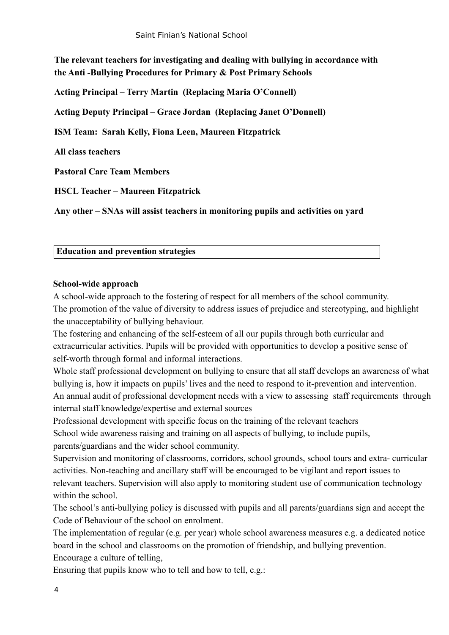**The relevant teachers for investigating and dealing with bullying in accordance with the Anti -Bullying Procedures for Primary & Post Primary Schools**

**Acting Principal – Terry Martin (Replacing Maria O'Connell)**

**Acting Deputy Principal – Grace Jordan (Replacing Janet O'Donnell)**

**ISM Team: Sarah Kelly, Fiona Leen, Maureen Fitzpatrick**

**All class teachers**

**Pastoral Care Team Members**

**HSCL Teacher – Maureen Fitzpatrick**

**Any other – SNAs will assist teachers in monitoring pupils and activities on yard**

#### **Education and prevention strategies**

#### **School-wide approach**

A school-wide approach to the fostering of respect for all members of the school community. The promotion of the value of diversity to address issues of prejudice and stereotyping, and highlight the unacceptability of bullying behaviour.

The fostering and enhancing of the self-esteem of all our pupils through both curricular and extracurricular activities. Pupils will be provided with opportunities to develop a positive sense of self-worth through formal and informal interactions.

Whole staff professional development on bullying to ensure that all staff develops an awareness of what bullying is, how it impacts on pupils' lives and the need to respond to it-prevention and intervention. An annual audit of professional development needs with a view to assessing staff requirements through internal staff knowledge/expertise and external sources

Professional development with specific focus on the training of the relevant teachers

School wide awareness raising and training on all aspects of bullying, to include pupils,

parents/guardians and the wider school community.

Supervision and monitoring of classrooms, corridors, school grounds, school tours and extra- curricular activities. Non-teaching and ancillary staff will be encouraged to be vigilant and report issues to relevant teachers. Supervision will also apply to monitoring student use of communication technology within the school.

The school's anti-bullying policy is discussed with pupils and all parents/guardians sign and accept the Code of Behaviour of the school on enrolment.

The implementation of regular (e.g. per year) whole school awareness measures e.g. a dedicated notice board in the school and classrooms on the promotion of friendship, and bullying prevention. Encourage a culture of telling,

Ensuring that pupils know who to tell and how to tell, e.g.: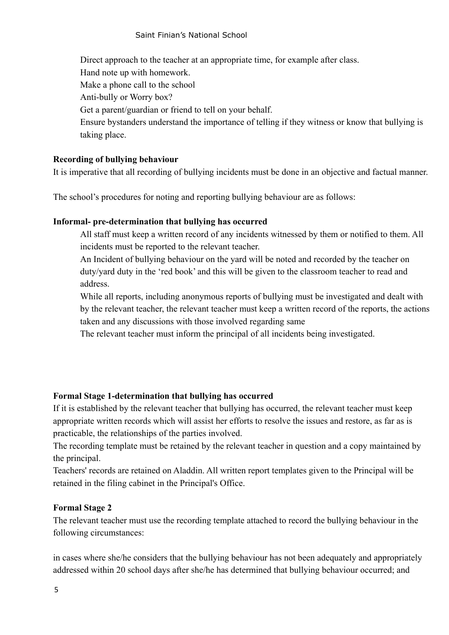Direct approach to the teacher at an appropriate time, for example after class. Hand note up with homework. Make a phone call to the school Anti-bully or Worry box? Get a parent/guardian or friend to tell on your behalf. Ensure bystanders understand the importance of telling if they witness or know that bullying is taking place.

### **Recording of bullying behaviour**

It is imperative that all recording of bullying incidents must be done in an objective and factual manner.

The school's procedures for noting and reporting bullying behaviour are as follows:

### **Informal- pre-determination that bullying has occurred**

All staff must keep a written record of any incidents witnessed by them or notified to them. All incidents must be reported to the relevant teacher.

An Incident of bullying behaviour on the yard will be noted and recorded by the teacher on duty/yard duty in the 'red book' and this will be given to the classroom teacher to read and address.

While all reports, including anonymous reports of bullying must be investigated and dealt with by the relevant teacher, the relevant teacher must keep a written record of the reports, the actions taken and any discussions with those involved regarding same

The relevant teacher must inform the principal of all incidents being investigated.

## **Formal Stage 1-determination that bullying has occurred**

If it is established by the relevant teacher that bullying has occurred, the relevant teacher must keep appropriate written records which will assist her efforts to resolve the issues and restore, as far as is practicable, the relationships of the parties involved.

The recording template must be retained by the relevant teacher in question and a copy maintained by the principal.

Teachers' records are retained on Aladdin. All written report templates given to the Principal will be retained in the filing cabinet in the Principal's Office.

### **Formal Stage 2**

The relevant teacher must use the recording template attached to record the bullying behaviour in the following circumstances:

in cases where she/he considers that the bullying behaviour has not been adequately and appropriately addressed within 20 school days after she/he has determined that bullying behaviour occurred; and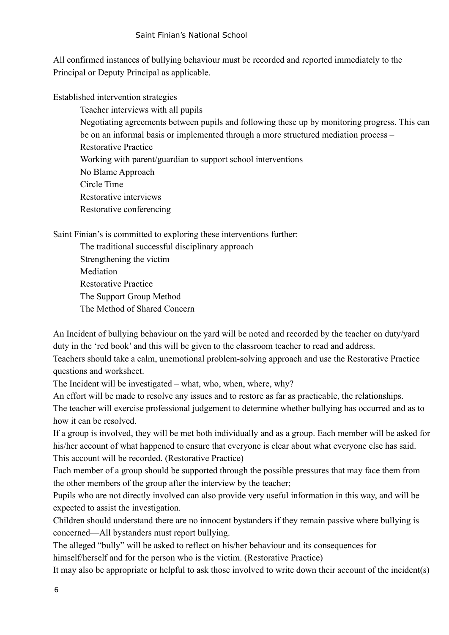### Saint Finian's National School

All confirmed instances of bullying behaviour must be recorded and reported immediately to the Principal or Deputy Principal as applicable.

Established intervention strategies

Teacher interviews with all pupils Negotiating agreements between pupils and following these up by monitoring progress. This can be on an informal basis or implemented through a more structured mediation process – Restorative Practice Working with parent/guardian to support school interventions No Blame Approach Circle Time Restorative interviews Restorative conferencing

Saint Finian's is committed to exploring these interventions further:

The traditional successful disciplinary approach Strengthening the victim Mediation Restorative Practice The Support Group Method The Method of Shared Concern

An Incident of bullying behaviour on the yard will be noted and recorded by the teacher on duty/yard duty in the 'red book' and this will be given to the classroom teacher to read and address.

Teachers should take a calm, unemotional problem-solving approach and use the Restorative Practice questions and worksheet.

The Incident will be investigated – what, who, when, where, why?

An effort will be made to resolve any issues and to restore as far as practicable, the relationships. The teacher will exercise professional judgement to determine whether bullying has occurred and as to how it can be resolved.

If a group is involved, they will be met both individually and as a group. Each member will be asked for his/her account of what happened to ensure that everyone is clear about what everyone else has said. This account will be recorded. (Restorative Practice)

Each member of a group should be supported through the possible pressures that may face them from the other members of the group after the interview by the teacher;

Pupils who are not directly involved can also provide very useful information in this way, and will be expected to assist the investigation.

Children should understand there are no innocent bystanders if they remain passive where bullying is concerned—All bystanders must report bullying.

The alleged "bully" will be asked to reflect on his/her behaviour and its consequences for himself/herself and for the person who is the victim. (Restorative Practice)

It may also be appropriate or helpful to ask those involved to write down their account of the incident(s)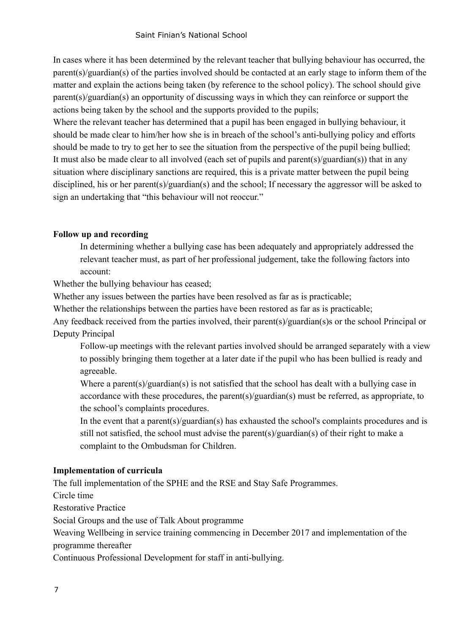#### Saint Finian's National School

In cases where it has been determined by the relevant teacher that bullying behaviour has occurred, the parent(s)/guardian(s) of the parties involved should be contacted at an early stage to inform them of the matter and explain the actions being taken (by reference to the school policy). The school should give parent(s)/guardian(s) an opportunity of discussing ways in which they can reinforce or support the actions being taken by the school and the supports provided to the pupils;

Where the relevant teacher has determined that a pupil has been engaged in bullying behaviour, it should be made clear to him/her how she is in breach of the school's anti-bullying policy and efforts should be made to try to get her to see the situation from the perspective of the pupil being bullied; It must also be made clear to all involved (each set of pupils and parent(s)/guardian(s)) that in any situation where disciplinary sanctions are required, this is a private matter between the pupil being disciplined, his or her parent(s)/guardian(s) and the school; If necessary the aggressor will be asked to sign an undertaking that "this behaviour will not reoccur."

### **Follow up and recording**

In determining whether a bullying case has been adequately and appropriately addressed the relevant teacher must, as part of her professional judgement, take the following factors into account:

Whether the bullying behaviour has ceased;

Whether any issues between the parties have been resolved as far as is practicable;

Whether the relationships between the parties have been restored as far as is practicable;

Any feedback received from the parties involved, their parent(s)/guardian(s)s or the school Principal or Deputy Principal

Follow-up meetings with the relevant parties involved should be arranged separately with a view to possibly bringing them together at a later date if the pupil who has been bullied is ready and agreeable.

Where a parent(s)/guardian(s) is not satisfied that the school has dealt with a bullying case in accordance with these procedures, the parent(s)/guardian(s) must be referred, as appropriate, to the school's complaints procedures.

In the event that a parent(s)/guardian(s) has exhausted the school's complaints procedures and is still not satisfied, the school must advise the parent(s)/guardian(s) of their right to make a complaint to the Ombudsman for Children.

#### **Implementation of curricula**

The full implementation of the SPHE and the RSE and Stay Safe Programmes.

Circle time

Restorative Practice

Social Groups and the use of Talk About programme

Weaving Wellbeing in service training commencing in December 2017 and implementation of the programme thereafter

Continuous Professional Development for staff in anti-bullying.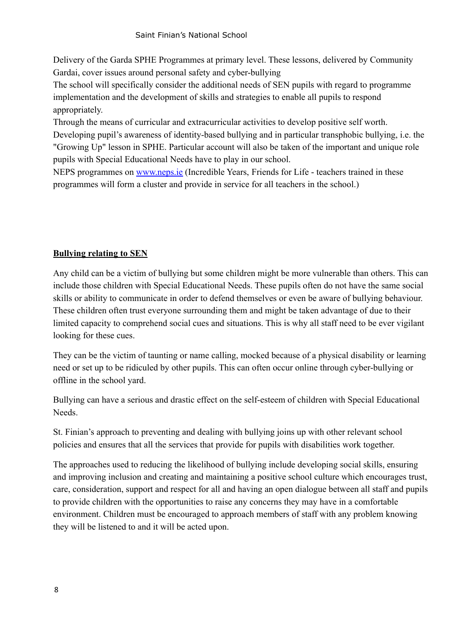#### Saint Finian's National School

Delivery of the Garda SPHE Programmes at primary level. These lessons, delivered by Community Gardai, cover issues around personal safety and cyber-bullying

The school will specifically consider the additional needs of SEN pupils with regard to programme implementation and the development of skills and strategies to enable all pupils to respond appropriately.

Through the means of curricular and extracurricular activities to develop positive self worth.

Developing pupil's awareness of identity-based bullying and in particular transphobic bullying, i.e. the "Growing Up" lesson in SPHE. Particular account will also be taken of the important and unique role pupils with Special Educational Needs have to play in our school.

NEPS programmes on [www.neps.ie](http://www.neps.ie) (Incredible Years, Friends for Life - teachers trained in these programmes will form a cluster and provide in service for all teachers in the school.)

## **Bullying relating to SEN**

Any child can be a victim of bullying but some children might be more vulnerable than others. This can include those children with Special Educational Needs. These pupils often do not have the same social skills or ability to communicate in order to defend themselves or even be aware of bullying behaviour. These children often trust everyone surrounding them and might be taken advantage of due to their limited capacity to comprehend social cues and situations. This is why all staff need to be ever vigilant looking for these cues.

They can be the victim of taunting or name calling, mocked because of a physical disability or learning need or set up to be ridiculed by other pupils. This can often occur online through cyber-bullying or offline in the school yard.

Bullying can have a serious and drastic effect on the self-esteem of children with Special Educational Needs.

St. Finian's approach to preventing and dealing with bullying joins up with other relevant school policies and ensures that all the services that provide for pupils with disabilities work together.

The approaches used to reducing the likelihood of bullying include developing social skills, ensuring and improving inclusion and creating and maintaining a positive school culture which encourages trust, care, consideration, support and respect for all and having an open dialogue between all staff and pupils to provide children with the opportunities to raise any concerns they may have in a comfortable environment. Children must be encouraged to approach members of staff with any problem knowing they will be listened to and it will be acted upon.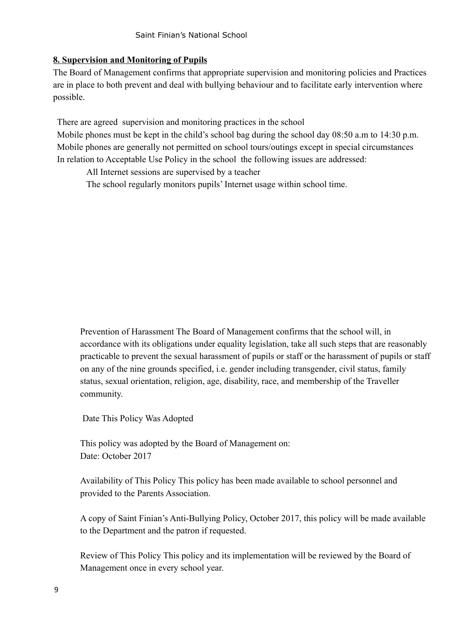## **8. Supervision and Monitoring of Pupils**

The Board of Management confirms that appropriate supervision and monitoring policies and Practices are in place to both prevent and deal with bullying behaviour and to facilitate early intervention where possible.

There are agreed supervision and monitoring practices in the school

Mobile phones must be kept in the child's school bag during the school day 08:50 a.m to 14:30 p.m. Mobile phones are generally not permitted on school tours/outings except in special circumstances In relation to Acceptable Use Policy in the school the following issues are addressed:

All Internet sessions are supervised by a teacher

The school regularly monitors pupils' Internet usage within school time.

Prevention of Harassment The Board of Management confirms that the school will, in accordance with its obligations under equality legislation, take all such steps that are reasonably practicable to prevent the sexual harassment of pupils or staff or the harassment of pupils or staff on any of the nine grounds specified, i.e. gender including transgender, civil status, family status, sexual orientation, religion, age, disability, race, and membership of the Traveller community.

Date This Policy Was Adopted

This policy was adopted by the Board of Management on: Date: October 2017

Availability of This Policy This policy has been made available to school personnel and provided to the Parents Association.

A copy of Saint Finian's Anti-Bullying Policy, October 2017, this policy will be made available to the Department and the patron if requested.

Review of This Policy This policy and its implementation will be reviewed by the Board of Management once in every school year.